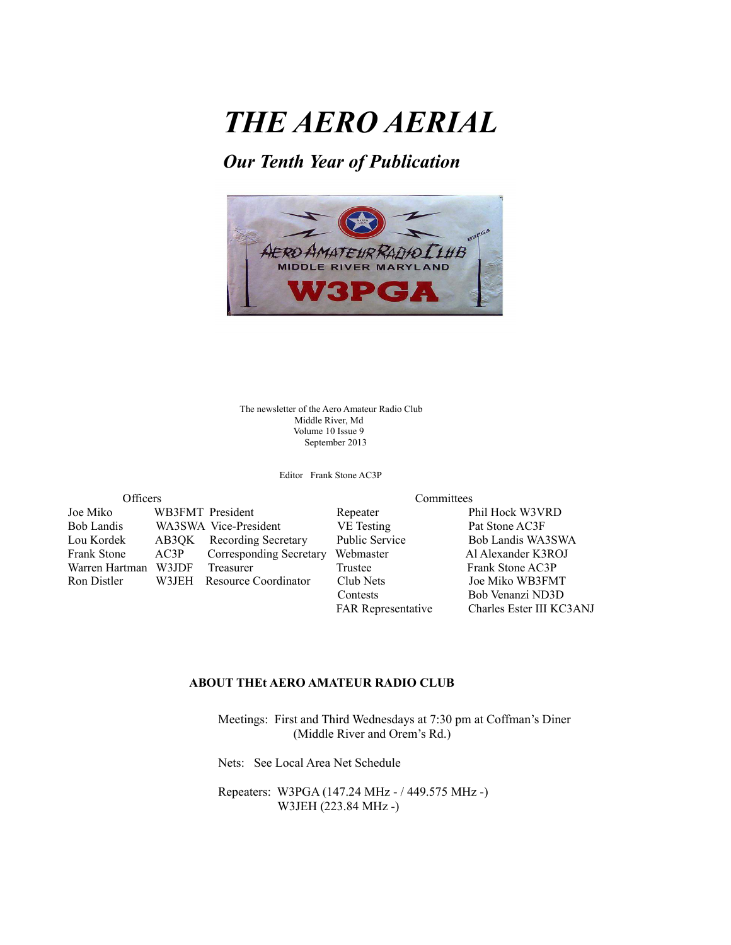# *THE AERO AERIAL*

## *Our Tenth Year of Publication*



The newsletter of the Aero Amateur Radio Club Middle River, Md Volume 10 Issue 9 September 2013

Editor Frank Stone AC3P

| Officers           |        |                          |
|--------------------|--------|--------------------------|
| Joe Miko           |        | WB3FMT President         |
| <b>Bob Landis</b>  |        | WA3SWA Vice-President    |
| Lou Kordek         |        | AB3QK Recording Secretar |
| <b>Frank Stone</b> | AC3P   | Corresponding Sec.       |
| Warren Hartman     | W3JDF  | Treasurer                |
| Ron Distler        | W3.IEH | Resource Coordinat       |
|                    |        |                          |

Committees

Repeater Phil Hock W3VRD VE Testing<br>Public Service<br>Bob Landis WA ry Public Service Bob Landis WA3SWA Frankry Webmaster Al Alexander K3ROJ Trustee Frank Stone AC3P<br>Club Nets Joe Miko WB3FM ron Club Nets Joe Miko WB3FMT Contests Bob Venanzi ND3D FAR Representative Charles Ester III KC3ANJ

### **ABOUT THEt AERO AMATEUR RADIO CLUB**

 Meetings: First and Third Wednesdays at 7:30 pm at Coffman's Diner (Middle River and Orem's Rd.)

Nets: See Local Area Net Schedule

 Repeaters: W3PGA (147.24 MHz - / 449.575 MHz -) W3JEH (223.84 MHz -)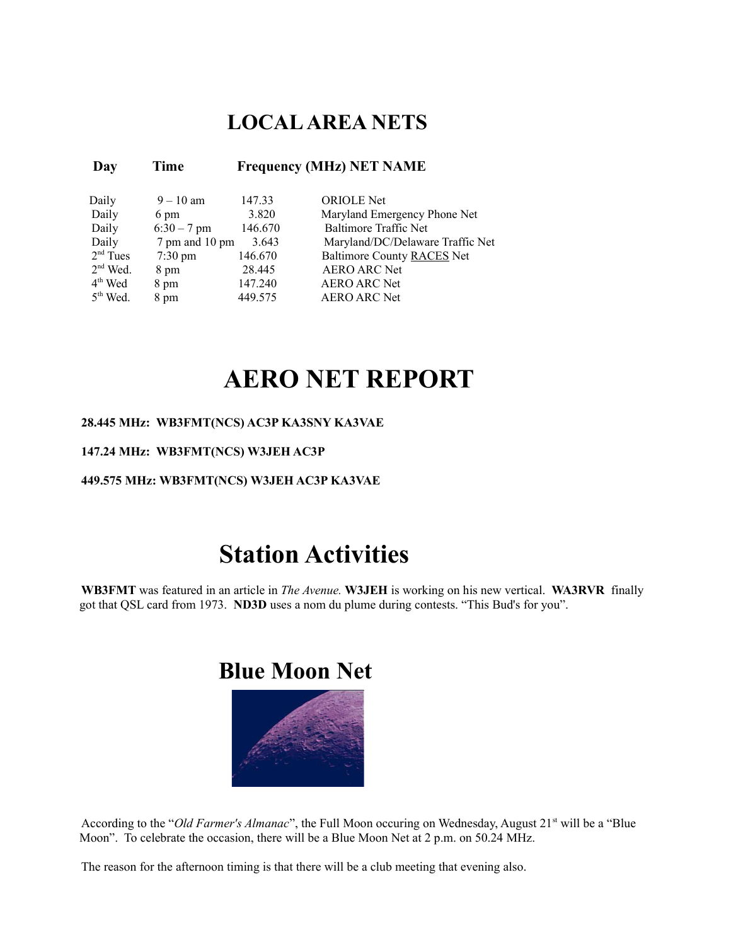## **LOCAL AREA NETS**

### **Day Time Frequency (MHz) NET NAME**

| Daily      | $9 - 10$ am       | 147.33  | <b>ORIOLE</b> Net                |
|------------|-------------------|---------|----------------------------------|
| Daily      | 6 pm              | 3.820   | Maryland Emergency Phone Net     |
| Daily      | $6:30 - 7$ pm     | 146.670 | <b>Baltimore Traffic Net</b>     |
| Daily      | 7 pm and 10 pm    | 3.643   | Maryland/DC/Delaware Traffic Net |
| $2nd$ Tues | $7:30 \text{ pm}$ | 146.670 | Baltimore County RACES Net       |
| $2nd$ Wed. | 8 pm              | 28.445  | <b>AERO ARC Net</b>              |
| $4th$ Wed  | 8 pm              | 147.240 | <b>AERO ARC Net</b>              |
| $5th$ Wed. | 8 pm              | 449 575 | <b>AERO ARC Net</b>              |
|            |                   |         |                                  |

# **AERO NET REPORT**

### **28.445 MHz: WB3FMT(NCS) AC3P KA3SNY KA3VAE**

### **147.24 MHz: WB3FMT(NCS) W3JEH AC3P**

#### **449.575 MHz: WB3FMT(NCS) W3JEH AC3P KA3VAE**

# **Station Activities**

**WB3FMT** was featured in an article in *The Avenue.* **W3JEH** is working on his new vertical. **WA3RVR** finally got that QSL card from 1973. **ND3D** uses a nom du plume during contests. "This Bud's for you".

## **Blue Moon Net**



According to the "Old Farmer's Almanac", the Full Moon occuring on Wednesday, August 21<sup>st</sup> will be a "Blue Moon". To celebrate the occasion, there will be a Blue Moon Net at 2 p.m. on 50.24 MHz.

The reason for the afternoon timing is that there will be a club meeting that evening also.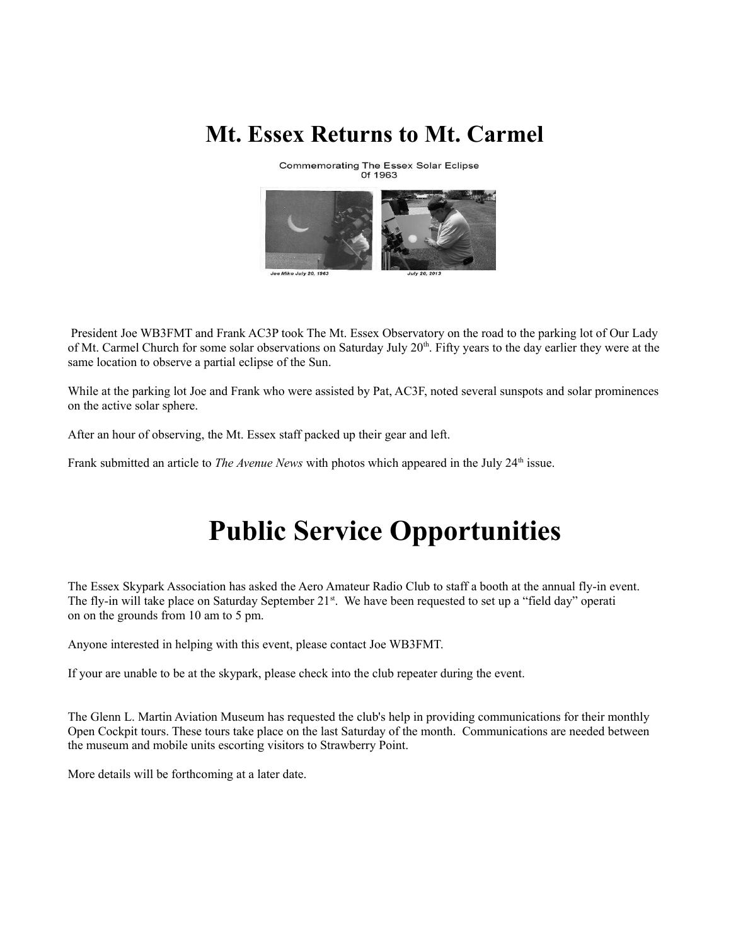## **Mt. Essex Returns to Mt. Carmel**

**Commemorating The Essex Solar Eclipse** Of 1963



 President Joe WB3FMT and Frank AC3P took The Mt. Essex Observatory on the road to the parking lot of Our Lady of Mt. Carmel Church for some solar observations on Saturday July 20<sup>th</sup>. Fifty years to the day earlier they were at the same location to observe a partial eclipse of the Sun.

While at the parking lot Joe and Frank who were assisted by Pat, AC3F, noted several sunspots and solar prominences on the active solar sphere.

After an hour of observing, the Mt. Essex staff packed up their gear and left.

Frank submitted an article to *The Avenue News* with photos which appeared in the July 24<sup>th</sup> issue.

# **Public Service Opportunities**

The Essex Skypark Association has asked the Aero Amateur Radio Club to staff a booth at the annual fly-in event. The fly-in will take place on Saturday September  $21^{st}$ . We have been requested to set up a "field day" operation on on the grounds from 10 am to 5 pm.

Anyone interested in helping with this event, please contact Joe WB3FMT.

If your are unable to be at the skypark, please check into the club repeater during the event.

The Glenn L. Martin Aviation Museum has requested the club's help in providing communications for their monthly Open Cockpit tours. These tours take place on the last Saturday of the month. Communications are needed between the museum and mobile units escorting visitors to Strawberry Point.

More details will be forthcoming at a later date.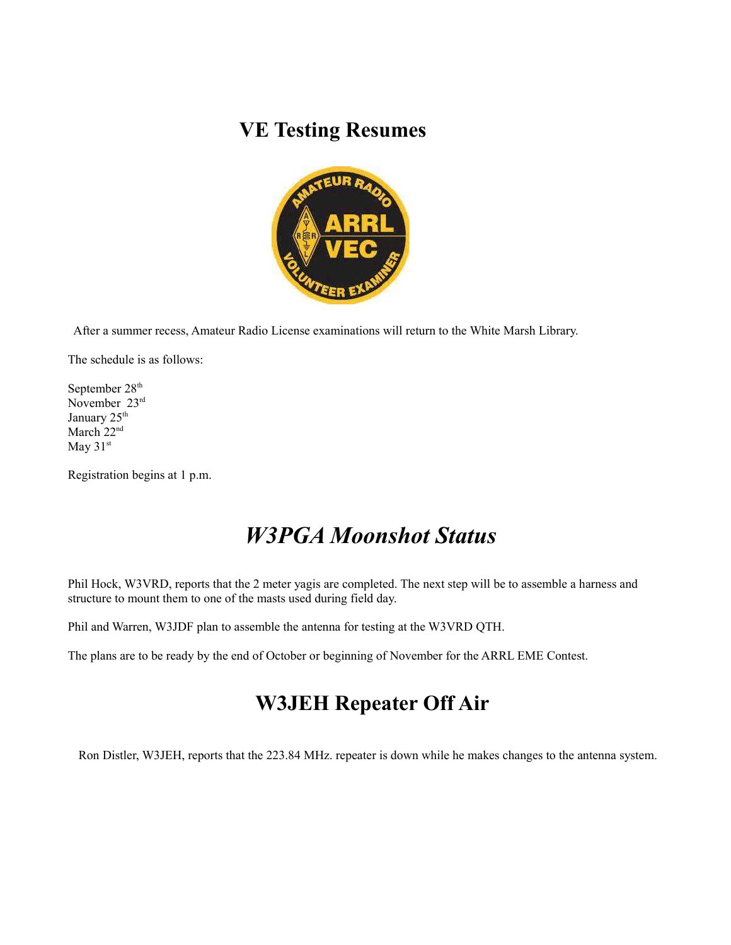## **VE Testing Resumes**



After a summer recess, Amateur Radio License examinations will return to the White Marsh Library.

The schedule is as follows:

September 28<sup>th</sup> November 23rd January 25<sup>th</sup> March 22<sup>nd</sup> May 31st

Registration begins at 1 p.m.

## *W3PGA Moonshot Status*

Phil Hock, W3VRD, reports that the 2 meter yagis are completed. The next step will be to assemble a harness and structure to mount them to one of the masts used during field day.

Phil and Warren, W3JDF plan to assemble the antenna for testing at the W3VRD QTH.

The plans are to be ready by the end of October or beginning of November for the ARRL EME Contest.

## **W3JEH Repeater Off Air**

Ron Distler, W3JEH, reports that the 223.84 MHz. repeater is down while he makes changes to the antenna system.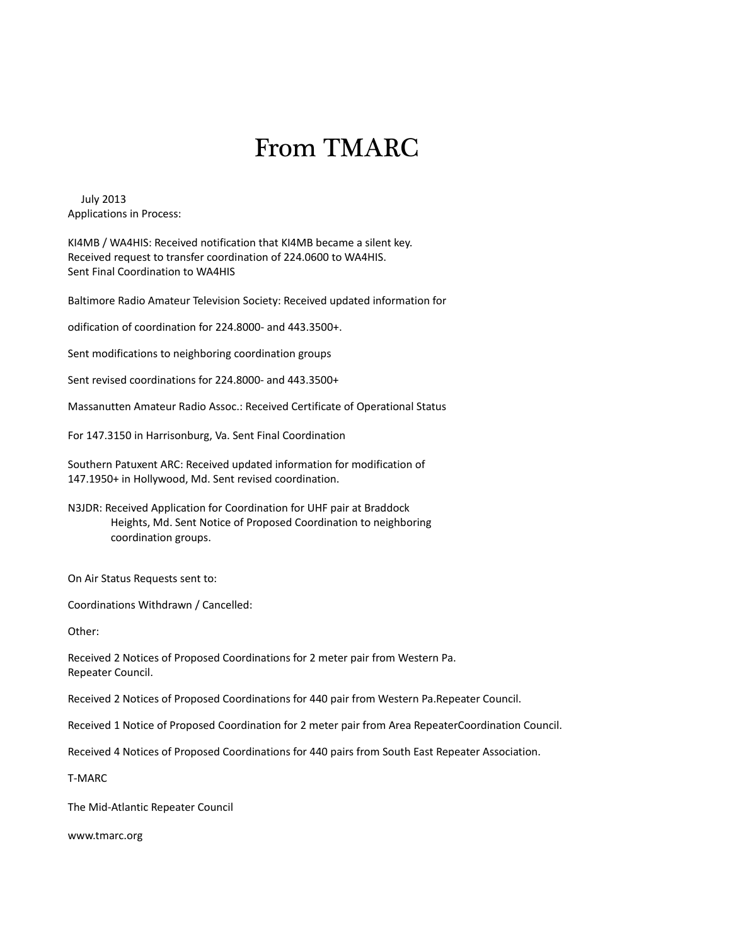# From TMARC

July 2013 Applications in Process:

KI4MB / WA4HIS: Received notification that KI4MB became a silent key. Received request to transfer coordination of 224.0600 to WA4HIS. Sent Final Coordination to WA4HIS

Baltimore Radio Amateur Television Society: Received updated information for

odification of coordination for 224.8000- and 443.3500+.

Sent modifications to neighboring coordination groups

Sent revised coordinations for 224.8000- and 443.3500+

Massanutten Amateur Radio Assoc.: Received Certificate of Operational Status

For 147.3150 in Harrisonburg, Va. Sent Final Coordination

Southern Patuxent ARC: Received updated information for modification of 147.1950+ in Hollywood, Md. Sent revised coordination.

N3JDR: Received Application for Coordination for UHF pair at Braddock Heights, Md. Sent Notice of Proposed Coordination to neighboring coordination groups.

On Air Status Requests sent to:

Coordinations Withdrawn / Cancelled:

Other:

Received 2 Notices of Proposed Coordinations for 2 meter pair from Western Pa. Repeater Council.

Received 2 Notices of Proposed Coordinations for 440 pair from Western Pa.Repeater Council.

Received 1 Notice of Proposed Coordination for 2 meter pair from Area RepeaterCoordination Council.

Received 4 Notices of Proposed Coordinations for 440 pairs from South East Repeater Association.

T-MARC

The Mid-Atlantic Repeater Council

[www.tmarc.org](http://www.tmarc.org/)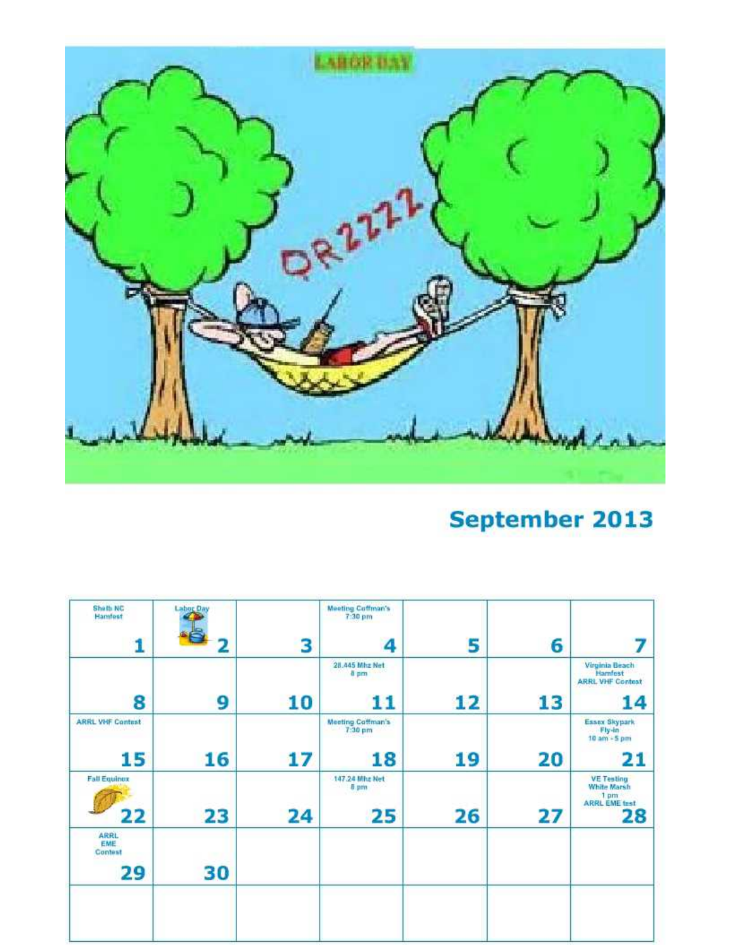

# **September 2013**

|    |    | <b>Meeting Coffman's</b><br>7:30 pm |    | <b>Labor Day</b> | Sheth NC<br>Hamfest                        |
|----|----|-------------------------------------|----|------------------|--------------------------------------------|
| 6  | 5  | 4                                   | 3  | c                |                                            |
|    |    | 28,445 Mhz Net<br>8 pm              |    |                  |                                            |
| 13 | 12 | 11                                  | 10 | 9                | 8                                          |
|    |    | Meeting Coffman's<br>7:30 pm        |    |                  | <b>ARRL VHF Contest</b>                    |
| 20 | 19 | 18                                  | 17 | 16               | 15                                         |
| 27 | 26 | 147.24 Mhz Net<br><b>B</b> pm<br>25 | 24 | 23               | <b>Fall Equinox</b><br>22                  |
|    |    |                                     |    | 30               | <b>ARRL</b><br><b>EME</b><br>Contest<br>29 |
|    |    |                                     |    |                  |                                            |